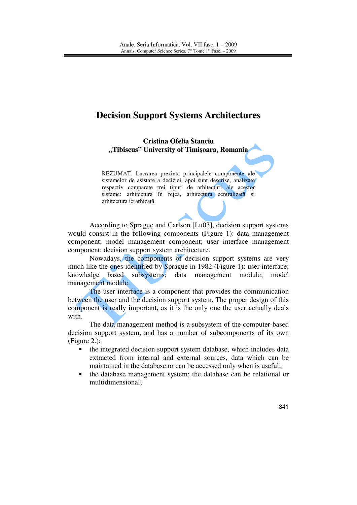# **Decision Support Systems Architectures**

**Cristina Ofelia Stanciu "Tibiscus" University of Timi**ş**oara, Romania**

REZUMAT. Lucrarea prezintă principalele componente ale sistemelor de asistare a deciziei, apoi sunt descrise, analizate respectiv comparate trei tipuri de arhitecturi ale acestor sisteme: arhitectura în rețea, arhitectura centralizată și arhitectura ierarhizată.

According to Sprague and Carlson [Lu03], decision support systems would consist in the following components (Figure 1): data management component; model management component; user interface management component; decision support system architecture.

Nowadays, the components of decision support systems are very much like the ones identified by Sprague in 1982 (Figure 1): user interface; knowledge based subsystems; data management module; model management module.

The user interface is a component that provides the communication between the user and the decision support system. The proper design of this component is really important, as it is the only one the user actually deals with.

 The data management method is a subsystem of the computer-based decision support system, and has a number of subcomponents of its own (Figure 2.):

- the integrated decision support system database, which includes data extracted from internal and external sources, data which can be maintained in the database or can be accessed only when is useful;
- the database management system; the database can be relational or multidimensional;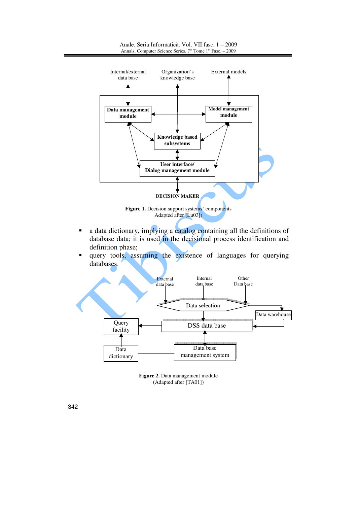

Anale. Seria Informatică. Vol. VII fasc. 1 – 2009 Annals. Computer Science Series.  $7<sup>th</sup>$  Tome  $1<sup>st</sup>$  Fasc. – 2009

- a data dictionary, implying a catalog containing all the definitions of database data; it is used in the decisional process identification and definition phase;
- query tools, assuming the existence of languages for querying databases.



**Figure 2.** Data management module (Adapted after [TA01])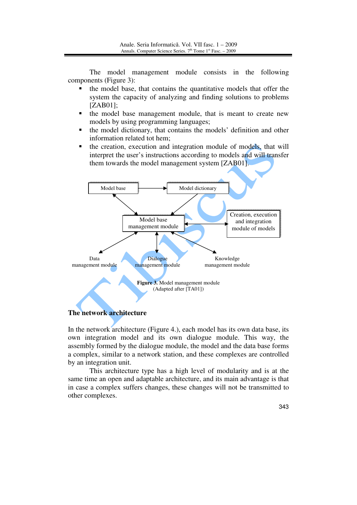The model management module consists in the following components (Figure 3):

- the model base, that contains the quantitative models that offer the system the capacity of analyzing and finding solutions to problems [ZAB01];
- the model base management module, that is meant to create new models by using programming languages;
- the model dictionary, that contains the models' definition and other information related tot hem;
- the creation, execution and integration module of models, that will interpret the user's instructions according to models and will transfer them towards the model management system [ZAB01].



### **The network architecture**

In the network architecture (Figure 4.), each model has its own data base, its own integration model and its own dialogue module. This way, the assembly formed by the dialogue module, the model and the data base forms a complex, similar to a network station, and these complexes are controlled by an integration unit.

 This architecture type has a high level of modularity and is at the same time an open and adaptable architecture, and its main advantage is that in case a complex suffers changes, these changes will not be transmitted to other complexes.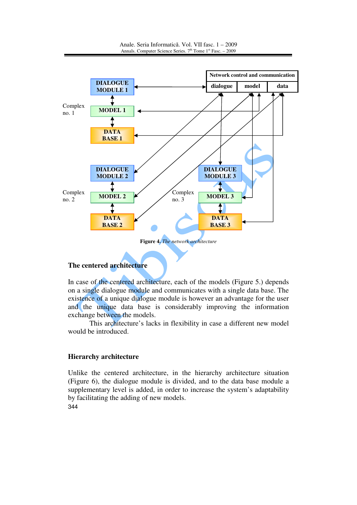

# **The centered architecture**

In case of the centered architecture, each of the models (Figure 5.) depends on a single dialogue module and communicates with a single data base. The existence of a unique dialogue module is however an advantage for the user and the unique data base is considerably improving the information exchange between the models.

This architecture's lacks in flexibility in case a different new model would be introduced.

# **Hierarchy architecture**

344 Unlike the centered architecture, in the hierarchy architecture situation (Figure 6), the dialogue module is divided, and to the data base module a supplementary level is added, in order to increase the system's adaptability by facilitating the adding of new models.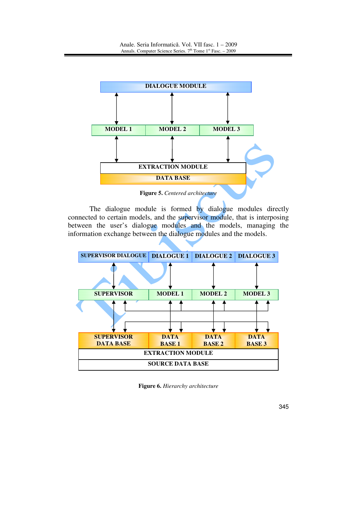

**Figure 5.** *Centered architecture* 

The dialogue module is formed by dialogue modules directly connected to certain models, and the supervisor module, that is interposing between the user's dialogue modules and the models, managing the information exchange between the dialogue modules and the models.

| <b>SUPERVISOR DIALOGUE   DIALOGUE 1</b> |               | <b>DIALOGUE 2</b> | <b>DIALOGUE 3</b> |  |
|-----------------------------------------|---------------|-------------------|-------------------|--|
|                                         |               |                   |                   |  |
| <b>SUPERVISOR</b>                       | <b>MODEL1</b> | <b>MODEL 2</b>    | <b>MODEL 3</b>    |  |
|                                         |               |                   |                   |  |
| <b>SUPERVISOR</b>                       | <b>DATA</b>   | <b>DATA</b>       | <b>DATA</b>       |  |
| <b>DATA BASE</b>                        | <b>BASE1</b>  | <b>BASE 2</b>     | <b>BASE 3</b>     |  |
| <b>EXTRACTION MODULE</b>                |               |                   |                   |  |
| <b>SOURCE DATA BASE</b>                 |               |                   |                   |  |

**Figure 6.** *Hierarchy architecture*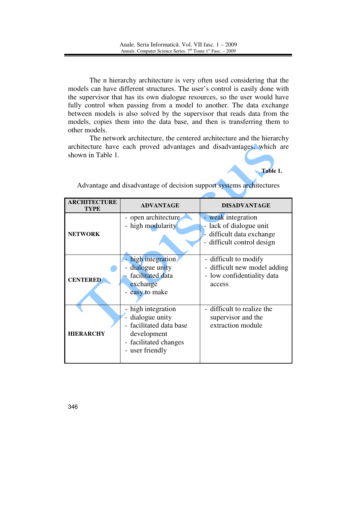The n hierarchy architecture is very often used considering that the models can have different structures. The user's control is easily done with the supervisor that has its own dialogue resources, so the user would have fully control when passing from a model to another. The data exchange between models is also solved by the supervisor that reads data from the models, copies them into the data base, and then is transferring them to other models.

The network architecture, the centered architecture and the hierarchy architecture have each proved advantages and disadvantages, which are shown in Table 1.



| <b>ARCHITECTURE</b><br>TYPE | <b>ADVANTAGE</b>                                                                                                       | <b>DISADVANTAGE</b>                                                                                  |  |  |
|-----------------------------|------------------------------------------------------------------------------------------------------------------------|------------------------------------------------------------------------------------------------------|--|--|
| <b>NETWORK</b>              | - open architecture<br>- high modularity                                                                               | - weak integration<br>lack of dialogue unit<br>difficult data exchange<br>- difficult control design |  |  |
| <b>CENTERED</b>             | high integration.<br>dialogue unity<br>$\overline{\phantom{0}}$<br>facilitated data<br>exchange<br>easy to make        | - difficult to modify<br>- difficult new model adding<br>- low confidentiality data<br>access        |  |  |
| <b>HIERARCHY</b>            | high integration<br>dialogue unity<br>facilitated data base<br>development<br>- facilitated changes<br>- user friendly | - difficult to realize the<br>supervisor and the<br>extraction module                                |  |  |

Advantage and disadvantage of decision support systems architectures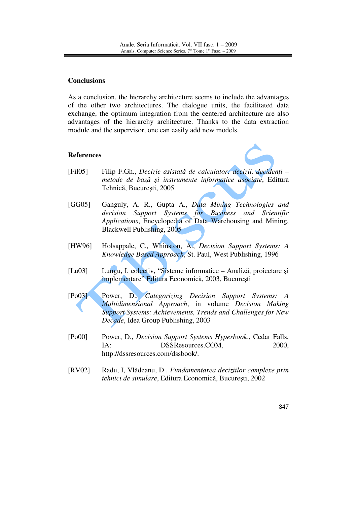### **Conclusions**

As a conclusion, the hierarchy architecture seems to include the advantages of the other two architectures. The dialogue units, the facilitated data exchange, the optimum integration from the centered architecture are also advantages of the hierarchy architecture. Thanks to the data extraction module and the supervisor, one can easily add new models.

#### **References**

- [Fil05] Filip F.Gh., *Decizie asistat*ă *de calculator: decizii, deciden*ţ*i metode de baz*ă ş*i instrumente informatice asociate*, Editura Tehnică, Bucureşti, 2005
- [GG05] Ganguly, A. R., Gupta A., *Data Mining Technologies and decision Support Systems for Business and Scientific Applications*, Encyclopedia of Data Warehousing and Mining, Blackwell Publishing, 2005
- [HW96] Holsappale, C., Whinston, A., *Decision Support Systems: A Knowledge Based Approach*, St. Paul, West Publishing, 1996
- [Lu03] Lungu, I, colectiv, "Sisteme informatice Analiză, proiectare şi implementare" Editura Economică, 2003, Bucureşti
- [Po03] Power, D., *Categorizing Decision Support Systems: A Multidimensional Approach*, in volume *Decision Making Support Systems: Achievements, Trends and Challenges for New Decade*, Idea Group Publishing, 2003
- [Po00] Power, D., *Decision Support Systems Hyperbook*., Cedar Falls, IA: DSSResources.COM, 2000, http://dssresources.com/dssbook/.
- [RV02] Radu, I, Vlădeanu, D., *Fundamentarea deciziilor complexe prin tehnici de simulare*, Editura Economică, Bucureşti, 2002